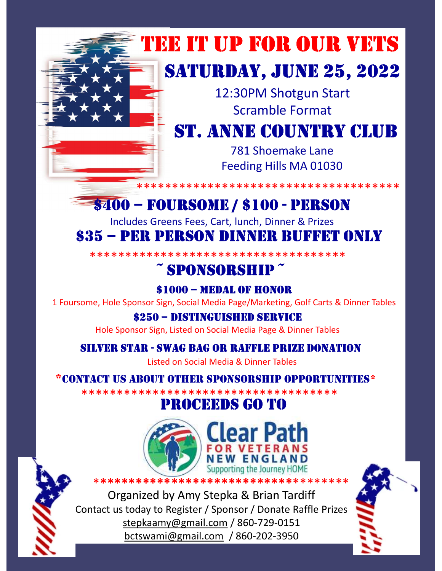

# TEE IT UP FOR OUR VETS

## SATURDAY, JUNE 25, 2022

12:30PM Shotgun Start Scramble Format

## **ST. ANNE COUNTRY CLUB**

781 Shoemake Lane Feeding Hills MA 01030

#### \*\*\*\*\*\*\*\*\*\*\*\*\*\*\*\*\*\*\*\*\*\*\*\*\*\*\*\*

### **\$400 - FOURSOME / \$100 - PERSON**

Includes Greens Fees, Cart, lunch, Dinner & Prizes

### \$35 – PER PERSON DINNER BUFFET ONLY

\*\*\*\*\*\*\*\*\*\*\*\*\*\*\*\*\*\*\*\*\*\*\*\*\*\*\*\*\*\*\*\*\*\*\*\*\*

### ~ SPONSORSHIP ~

### \$1000 - MEDAL OF HONOR

1 Foursome, Hole Sponsor Sign, Social Media Page/Marketing, Golf Carts & Dinner Tables

#### \$250 - DISTINGUISHED SERVICE

Hole Sponsor Sign, Listed on Social Media Page & Dinner Tables

### **SILVER STAR - SWAG BAG OR RAFFLE PRIZE DONATION**

Listed on Social Media & Dinner Tables

#### \*CONTACT US AROUT OTHER SPONSORSHIP OPPORTUNITIES\*

\*\*\*\*\*\*\*\*\*\*\*\*\*\*\*\*\*\*\*\*\*\*\*\*\*\*\*\*\*\*\*\*\*\*\*\*\*\*

### PROCEEDS GO TO



Organized by Amy Stepka & Brian Tardiff Contact us today to Register / Sponsor / Donate Raffle Prizes stepkaamy@gmail.com / 860-729-0151 bctswami@gmail.com / 860-202-3950